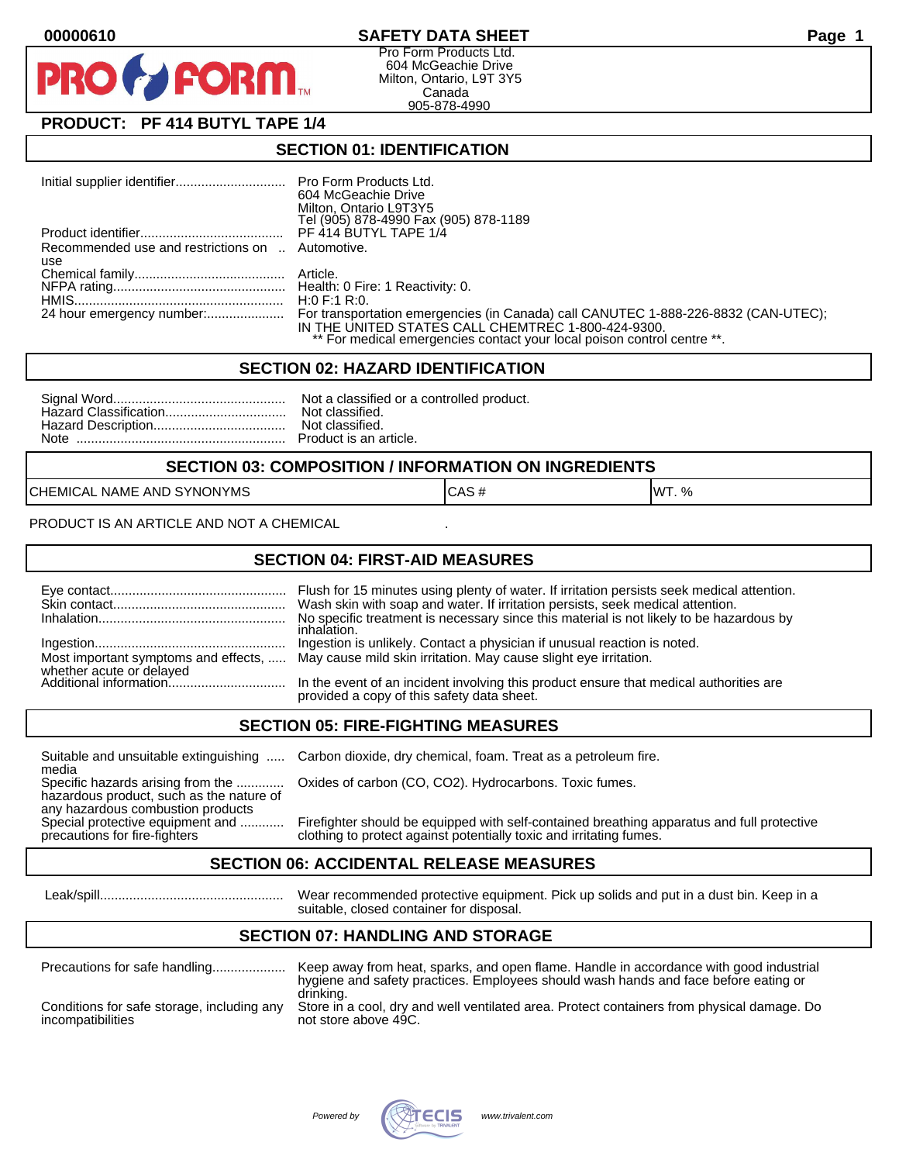

Pro Form Products Ltd. 604 McGeachie Drive Milton, Ontario, L9T 3Y5 Canada 905-878-4990

# **PRODUCT: PF 414 BUTYL TAPE 1/4**

**FORM** 

### **SECTION 01: IDENTIFICATION**

|                                                         | 604 McGeachie Drive<br>Milton, Ontario L9T3Y5<br>Tel (905) 878-4990 Fax (905) 878-1189                                                                                                                              |
|---------------------------------------------------------|---------------------------------------------------------------------------------------------------------------------------------------------------------------------------------------------------------------------|
|                                                         | PF 414 BUTYL TAPE 1/4                                                                                                                                                                                               |
| Recommended use and restrictions on  Automotive.<br>use |                                                                                                                                                                                                                     |
|                                                         |                                                                                                                                                                                                                     |
|                                                         |                                                                                                                                                                                                                     |
|                                                         | H:0 F:1 R:0.                                                                                                                                                                                                        |
| 24 hour emergency number:                               | For transportation emergencies (in Canada) call CANUTEC 1-888-226-8832 (CAN-UTEC);<br>IN THE UNITED STATES CALL CHEMTREC 1-800-424-9300.<br>** For medical emergencies contact your local poison control centre **. |

#### **SECTION 02: HAZARD IDENTIFICATION**

#### **SECTION 03: COMPOSITION / INFORMATION ON INGREDIENTS**

CHEMICAL NAME AND SYNONYMS CASE CAS # CAS # WT. %

PRODUCT IS AN ARTICLE AND NOT A CHEMICAL

### **SECTION 04: FIRST-AID MEASURES**

|                                                    | Flush for 15 minutes using plenty of water. If irritation persists seek medical attention.<br>Wash skin with soap and water. If irritation persists, seek medical attention.<br>No specific treatment is necessary since this material is not likely to be hazardous by<br>inhalation. |
|----------------------------------------------------|----------------------------------------------------------------------------------------------------------------------------------------------------------------------------------------------------------------------------------------------------------------------------------------|
|                                                    | Ingestion is unlikely. Contact a physician if unusual reaction is noted.<br>Most important symptoms and effects,  May cause mild skin irritation. May cause slight eye irritation.                                                                                                     |
| whether acute or delayed<br>Additional information | In the event of an incident involving this product ensure that medical authorities are<br>provided a copy of this safety data sheet.                                                                                                                                                   |

## **SECTION 05: FIRE-FIGHTING MEASURES**

media<br>Specific hazards arising from the .............

hazardous product, such as the nature of any hazardous combustion products<br>Special protective equipment and ............

Suitable and unsuitable extinguishing ..... Carbon dioxide, dry chemical, foam. Treat as a petroleum fire.

Oxides of carbon (CO, CO2). Hydrocarbons. Toxic fumes.

Special protective equipment and ............ Firefighter should be equipped with self-contained breathing apparatus and full protective<br>precautions for fire-fighters on the clothing to protect against potentially toxic an clothing to protect against potentially toxic and irritating fumes.

### **SECTION 06: ACCIDENTAL RELEASE MEASURES**

 Leak/spill.................................................. Wear recommended protective equipment. Pick up solids and put in a dust bin. Keep in a suitable, closed container for disposal.

# **SECTION 07: HANDLING AND STORAGE**

| Precautions for safe handling                                   | Keep away from heat, sparks, and open flame. Handle in accordance with good industrial<br>hygiene and safety practices. Employees should wash hands and face before eating or |
|-----------------------------------------------------------------|-------------------------------------------------------------------------------------------------------------------------------------------------------------------------------|
| Conditions for safe storage, including any<br>incompatibilities | drinking.<br>Store in a cool, dry and well ventilated area. Protect containers from physical damage. Do<br>not store above 49C.                                               |

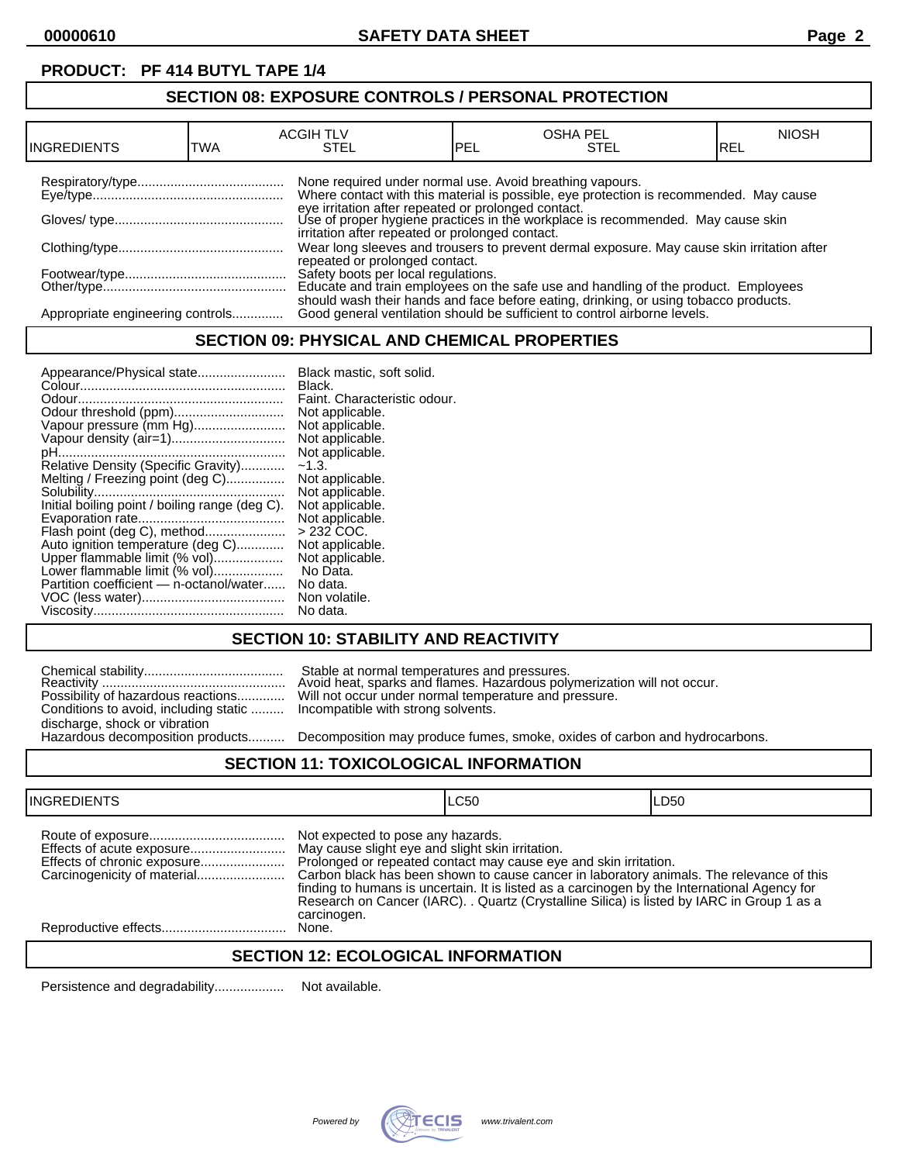# **PRODUCT: PF 414 BUTYL TAPE 1/4**

## **SECTION 08: EXPOSURE CONTROLS / PERSONAL PROTECTION**

| IINGREDIENTS                     | TWA | <b>ACGIH TLV</b><br>STEL                                 | PEL | <b>OSHA PEL</b><br>STEL                                                                                                                                           | <b>NIOSH</b><br>IREL |
|----------------------------------|-----|----------------------------------------------------------|-----|-------------------------------------------------------------------------------------------------------------------------------------------------------------------|----------------------|
|                                  |     | None required under normal use. Avoid breathing vapours. |     | Where contact with this material is possible, eye protection is recommended. May cause                                                                            |                      |
|                                  |     | irritation after repeated or prolonged contact.          |     | eye irritation after repeated or prolonged contact.<br>Use of proper hygiene practices in the workplace is recommended. May cause skin                            |                      |
|                                  |     | repeated or prolonged contact.                           |     | Wear long sleeves and trousers to prevent dermal exposure. May cause skin irritation after                                                                        |                      |
|                                  |     |                                                          |     | Safety boots per local regulations.<br>Educate and train employees on the safe use and handling of the product. Employees                                         |                      |
| Appropriate engineering controls |     |                                                          |     | should wash their hands and face before eating, drinking, or using tobacco products.<br>Good general ventilation should be sufficient to control airborne levels. |                      |

### **SECTION 09: PHYSICAL AND CHEMICAL PROPERTIES**

| Appearance/Physical state                      | Black mastic, soft solid.    |
|------------------------------------------------|------------------------------|
|                                                | Black.                       |
|                                                | Faint. Characteristic odour. |
| Odour threshold (ppm)                          | Not applicable.              |
| Vapour pressure (mm Hg)                        | Not applicable.              |
| Vapour density (air=1)                         | Not applicable.              |
|                                                | Not applicable.              |
| Relative Density (Specific Gravity)            | $-1.3.$                      |
| Melting / Freezing point (deg C)               | Not applicable.              |
|                                                | Not applicable.              |
| Initial boiling point / boiling range (deg C). | Not applicable.              |
|                                                | Not applicable.              |
| Flash point (deg C), method                    | $>232$ COC.                  |
| Auto ignition temperature (deg C)              | Not applicable.              |
| Upper flammable limit (% vol)                  | Not applicable.              |
| Lower flammable limit (% vol)                  | No Data.                     |
| Partition coefficient - n-octanol/water        | No data.                     |
|                                                | Non volatile.                |
|                                                | No data.                     |

# **SECTION 10: STABILITY AND REACTIVITY**

|                                                                           | Stable at normal temperatures and pressures.<br>Avoid heat, sparks and flames. Hazardous poly |
|---------------------------------------------------------------------------|-----------------------------------------------------------------------------------------------|
|                                                                           | Possibility of hazardous reactions Will not occur under normal temperature and pr             |
| Conditions to avoid, including static  Incompatible with strong solvents. |                                                                                               |
| discharge, shock or vibration                                             |                                                                                               |
|                                                                           | Hazardous decomposition products Decomposition may produce fumes. smoke. oxi                  |

Reactivity .................................................. Avoid heat, sparks and flames. Hazardous polymerization will not occur. Possibility of hazardous reactions............. Will not occur under normal temperature and pressure. Incompatible with strong solvents.

Decomposition may produce fumes, smoke, oxides of carbon and hydrocarbons.

### **SECTION 11: TOXICOLOGICAL INFORMATION**

| <b>INGREDIENTS</b>          |                                                                                                      | LC50                                                                                                                                                                                                                                                                                                                                                       | LD50 |
|-----------------------------|------------------------------------------------------------------------------------------------------|------------------------------------------------------------------------------------------------------------------------------------------------------------------------------------------------------------------------------------------------------------------------------------------------------------------------------------------------------------|------|
| Effects of chronic exposure | Not expected to pose any hazards.<br>May cause slight eye and slight skin irritation.<br>carcinogen. | Prolonged or repeated contact may cause eye and skin irritation.<br>Carbon black has been shown to cause cancer in laboratory animals. The relevance of this<br>finding to humans is uncertain. It is listed as a carcinogen by the International Agency for<br>Research on Cancer (IARC). . Quartz (Crystalline Silica) is listed by IARC in Group 1 as a |      |
|                             | None.                                                                                                |                                                                                                                                                                                                                                                                                                                                                            |      |
|                             |                                                                                                      |                                                                                                                                                                                                                                                                                                                                                            |      |

## **SECTION 12: ECOLOGICAL INFORMATION**

Persistence and degradability................... Not available.